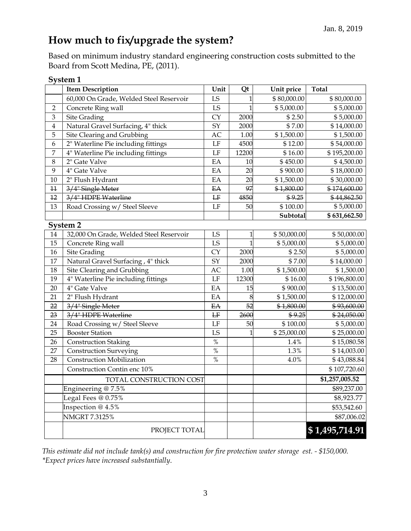## **How much to fix/upgrade the system?**

Based on minimum industry standard engineering construction costs submitted to the Board from Scott Medina, PE, (2011).

| System 1                |                                         |                     |                |             |                |
|-------------------------|-----------------------------------------|---------------------|----------------|-------------|----------------|
|                         | <b>Item Description</b>                 | Unit                | Qt             | Unit price  | <b>Total</b>   |
|                         | 60,000 On Grade, Welded Steel Reservoir | LS                  | 1              | \$80,000.00 | \$80,000.00    |
| $\overline{2}$          | Concrete Ring wall                      | LS                  | 1              | \$5,000.00  | \$5,000.00     |
| 3                       | <b>Site Grading</b>                     | <b>CY</b>           | 2000           | \$2.50      | \$5,000.00     |
| $\overline{\mathbf{4}}$ | Natural Gravel Surfacing, 4" thick      | SY                  | 2000           | \$7.00      | \$14,000.00    |
| 5                       | Site Clearing and Grubbing              | AC                  | 1.00           | \$1,500.00  | \$1,500.00     |
| 6                       | 2" Waterline Pie including fittings     | LF                  | 4500           | \$12.00     | \$54,000.00    |
| 7                       | 4" Waterline Pie including fittings     | LF                  | 12200          | \$16.00     | \$195,200.00   |
| $\,8\,$                 | 2" Gate Valve                           | EA                  | 10             | \$450.00    | \$4,500.00     |
| 9                       | 4" Gate Valve                           | EA                  | 20             | \$900.00    | \$18,000.00    |
| 10                      | 2" Flush Hydrant                        | EA                  | 20             | \$1,500.00  | \$30,000.00    |
| 11                      | 3/4" Single Meter                       | E A                 | 97             | \$1,800.00  | \$174,600.00   |
| 12                      | 3/4" HDPE Waterline                     | H                   | 4850           | \$9.25      | \$44,862.50    |
| 13                      | Road Crossing w/ Steel Sleeve           | $\operatorname{LF}$ | 50             | \$100.00    | \$5,000.00     |
|                         |                                         |                     |                | Subtotal    | \$631,662.50   |
| <b>System 2</b>         |                                         |                     |                |             |                |
| 14                      | 32,000 On Grade, Welded Steel Reservoir | LS                  | $\mathbf 1$    | \$50,000.00 | \$50,000.00    |
| 15                      | Concrete Ring wall                      | LS                  | $\overline{1}$ | \$5,000.00  | \$5,000.00     |
| $16\,$                  | <b>Site Grading</b>                     | <b>CY</b>           | 2000           | \$2.50      | \$5,000.00     |
| 17                      | Natural Gravel Surfacing, 4" thick      | SY                  | 2000           | \$7.00      | \$14,000.00    |
| 18                      | Site Clearing and Grubbing              | AC                  | 1.00           | \$1,500.00  | \$1,500.00     |
| 19                      | 4" Waterline Pie including fittings     | LF                  | 12300          | \$16.00     | \$196,800.00   |
| 20                      | 4" Gate Valve                           | EA                  | 15             | \$900.00    | \$13,500.00    |
| 21                      | 2" Flush Hydrant                        | EA                  | 8              | \$1,500.00  | \$12,000.00    |
| 22                      | 3/4" Single Meter                       | EA                  | 52             | \$1,800.00  | \$93,600.00    |
| 23                      | 3/4" HDPE Waterline                     | $\rm LF$            | 2600           | \$9.25      | \$24,050.00    |
| 24                      | Road Crossing w/ Steel Sleeve           | LF                  | 50             | \$100.00    | \$5,000.00     |
| 25                      | <b>Booster Station</b>                  | LS                  | 1              | \$25,000.00 | \$25,000.00    |
| 26                      | <b>Construction Staking</b>             | $\%$                |                | 1.4%        | \$15,080.58    |
| 27                      | <b>Construction Surveying</b>           | $\%$                |                | 1.3%        | \$14,003.00    |
| 28                      | <b>Construction Mobilization</b>        | $\%$                |                | 4.0%        | \$43,088.84    |
|                         | Construction Contin enc 10%             |                     |                |             | \$107,720.60   |
|                         | TOTAL CONSTRUCTION COST                 |                     |                |             | \$1,257,005.52 |
|                         | Engineering @ 7.5%                      |                     |                |             | \$89,237.00    |
|                         | Legal Fees @ 0.75%                      |                     |                |             | \$8,923.77     |
|                         | Inspection @ 4.5%                       |                     |                |             | \$53,542.60    |
|                         | <b>NMGRT 7.3125%</b>                    |                     |                |             | \$87,006.02    |
|                         | PROJECT TOTAL                           |                     |                |             | \$1,495,714.91 |

*This estimate did not include tank(s) and construction for fire protection water storage est. - \$150,000. \*Expect prices have increased substantially*.